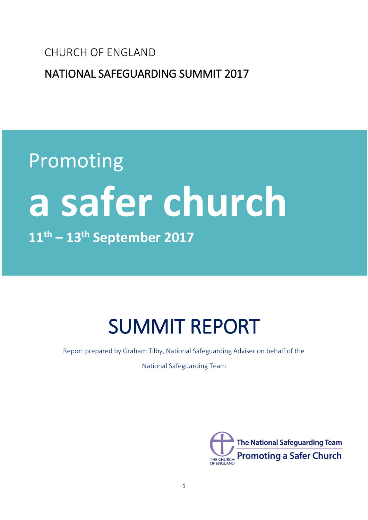CHURCH OF ENGLAND

NATIONAL SAFEGUARDING SUMMIT 2017

# Promoting **a safer church 11th – 13th September 2017**

## SUMMIT REPORT

Report prepared by Graham Tilby, National Safeguarding Adviser on behalf of the

National Safeguarding Team

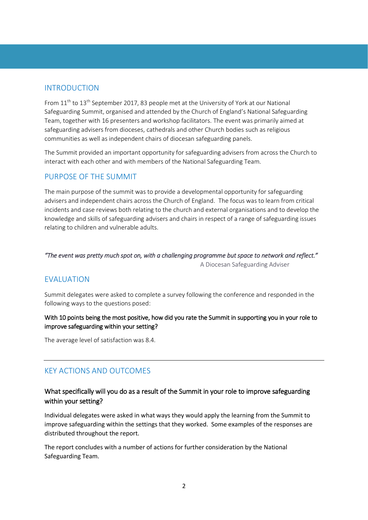## INTRODUCTION

From  $11^{th}$  to  $13^{th}$  September 2017, 83 people met at the University of York at our National Safeguarding Summit, organised and attended by the Church of England's National Safeguarding Team, together with 16 presenters and workshop facilitators. The event was primarily aimed at safeguarding advisers from dioceses, cathedrals and other Church bodies such as religious communities as well as independent chairs of diocesan safeguarding panels.

The Summit provided an important opportunity for safeguarding advisers from across the Church to interact with each other and with members of the National Safeguarding Team.

## PURPOSE OF THE SUMMIT

The main purpose of the summit was to provide a developmental opportunity for safeguarding advisers and independent chairs across the Church of England. The focus was to learn from critical incidents and case reviews both relating to the church and external organisations and to develop the knowledge and skills of safeguarding advisers and chairs in respect of a range of safeguarding issues relating to children and vulnerable adults.

## *"The event was pretty much spot on, with a challenging programme but space to network and reflect."* A Diocesan Safeguarding Adviser

## **FVALUATION**

Summit delegates were asked to complete a survey following the conference and responded in the following ways to the questions posed:

## With 10 points being the most positive, how did you rate the Summit in supporting you in your role to improve safeguarding within your setting?

The average level of satisfaction was 8.4.

## KEY ACTIONS AND OUTCOMES

## What specifically will you do as a result of the Summit in your role to improve safeguarding within your setting?

Individual delegates were asked in what ways they would apply the learning from the Summit to improve safeguarding within the settings that they worked. Some examples of the responses are distributed throughout the report.

The report concludes with a number of actions for further consideration by the National Safeguarding Team.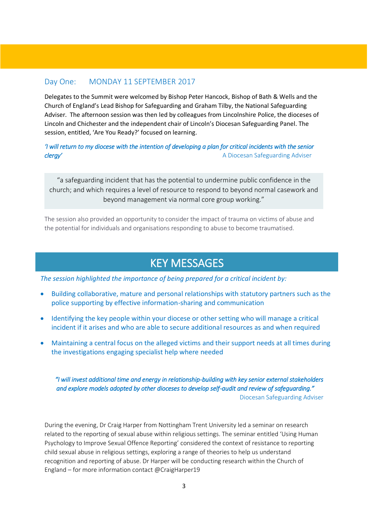## Day One: MONDAY 11 SEPTEMBER 2017

Delegates to the Summit were welcomed by Bishop Peter Hancock, Bishop of Bath & Wells and the Church of England's Lead Bishop for Safeguarding and Graham Tilby, the National Safeguarding Adviser. The afternoon session was then led by colleagues from Lincolnshire Police, the dioceses of Lincoln and Chichester and the independent chair of Lincoln's Diocesan Safeguarding Panel. The session, entitled, 'Are You Ready?' focused on learning.

*'I will return to my diocese with the intention of developing a plan for critical incidents with the senior clergy' clergy' clergy' A Diocesan Safeguarding Adviser* 

"a safeguarding incident that has the potential to undermine public confidence in the church; and which requires a level of resource to respond to beyond normal casework and beyond management via normal core group working."

The session also provided an opportunity to consider the impact of trauma on victims of abuse and the potential for individuals and organisations responding to abuse to become traumatised.

## KEY MESSAGES

*The session highlighted the importance of being prepared for a critical incident by:*

- Building collaborative, mature and personal relationships with statutory partners such as the police supporting by effective information-sharing and communication
- Identifying the key people within your diocese or other setting who will manage a critical incident if it arises and who are able to secure additional resources as and when required
- Maintaining a central focus on the alleged victims and their support needs at all times during the investigations engaging specialist help where needed

*"I will invest additional time and energy in relationship-building with key senior external stakeholders and explore models adopted by other dioceses to develop self-audit and review of safeguarding."*  **Diocesan Safeguarding Adviser** 

During the evening, Dr Craig Harper from Nottingham Trent University led a seminar on research related to the reporting of sexual abuse within religious settings. The seminar entitled 'Using Human Psychology to Improve Sexual Offence Reporting' considered the context of resistance to reporting child sexual abuse in religious settings, exploring a range of theories to help us understand recognition and reporting of abuse. Dr Harper will be conducting research within the Church of England – for more information contact @CraigHarper19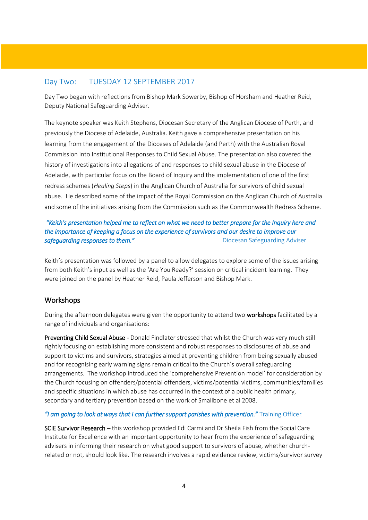## Day Two: TUESDAY 12 SEPTEMBER 2017

Day Two began with reflections from Bishop Mark Sowerby, Bishop of Horsham and Heather Reid, Deputy National Safeguarding Adviser.

The keynote speaker was Keith Stephens, Diocesan Secretary of the Anglican Diocese of Perth, and previously the Diocese of Adelaide, Australia. Keith gave a comprehensive presentation on his learning from the engagement of the Dioceses of Adelaide (and Perth) with the Australian Royal Commission into Institutional Responses to Child Sexual Abuse. The presentation also covered the history of investigations into allegations of and responses to child sexual abuse in the Diocese of Adelaide, with particular focus on the Board of Inquiry and the implementation of one of the first redress schemes (*Healing Steps*) in the Anglican Church of Australia for survivors of child sexual abuse. He described some of the impact of the Royal Commission on the Anglican Church of Australia and some of the initiatives arising from the Commission such as the Commonwealth Redress Scheme.

## *"Keith's presentation helped me to reflect on what we need to better prepare for the Inquiry here and the importance of keeping a focus on the experience of survivors and our desire to improve our*  **safeguarding responses to them." Consumersed as a safeguarding Adviser** by Diocesan Safeguarding Adviser

Keith's presentation was followed by a panel to allow delegates to explore some of the issues arising from both Keith's input as well as the 'Are You Ready?' session on critical incident learning. They were joined on the panel by Heather Reid, Paula Jefferson and Bishop Mark.

## **Workshops**

During the afternoon delegates were given the opportunity to attend two workshops facilitated by a range of individuals and organisations:

Preventing Child Sexual Abuse - Donald Findlater stressed that whilst the Church was very much still rightly focusing on establishing more consistent and robust responses to disclosures of abuse and support to victims and survivors, strategies aimed at preventing children from being sexually abused and for recognising early warning signs remain critical to the Church's overall safeguarding arrangements. The workshop introduced the 'comprehensive Prevention model' for consideration by the Church focusing on offenders/potential offenders, victims/potential victims, communities/families and specific situations in which abuse has occurred in the context of a public health primary, secondary and tertiary prevention based on the work of Smallbone et al 2008.

## *"I am going to look at ways that I can further support parishes with prevention."* Training Officer

SCIE Survivor Research – this workshop provided Edi Carmi and Dr Sheila Fish from the Social Care Institute for Excellence with an important opportunity to hear from the experience of safeguarding advisers in informing their research on what good support to survivors of abuse, whether churchrelated or not, should look like. The research involves a rapid evidence review, victims/survivor survey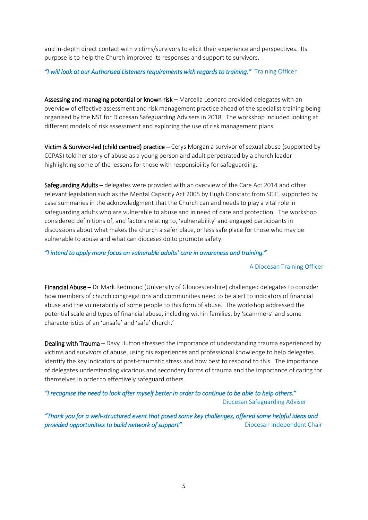and in-depth direct contact with victims/survivors to elicit their experience and perspectives. Its purpose is to help the Church improved its responses and support to survivors.

## *"I will look at our Authorised Listeners requirements with regards to training."* Training Officer

Assessing and managing potential or known risk – Marcella Leonard provided delegates with an overview of effective assessment and risk management practice ahead of the specialist training being organised by the NST for Diocesan Safeguarding Advisers in 2018. The workshop included looking at different models of risk assessment and exploring the use of risk management plans.

Victim & Survivor-led (child centred) practice – Cerys Morgan a survivor of sexual abuse (supported by CCPAS) told her story of abuse as a young person and adult perpetrated by a church leader highlighting some of the lessons for those with responsibility for safeguarding.

Safeguarding Adults – delegates were provided with an overview of the Care Act 2014 and other relevant legislation such as the Mental Capacity Act 2005 by Hugh Constant from SCIE, supported by case summaries in the acknowledgment that the Church can and needs to play a vital role in safeguarding adults who are vulnerable to abuse and in need of care and protection. The workshop considered definitions of, and factors relating to, 'vulnerability' and engaged participants in discussions about what makes the church a safer place, or less safe place for those who may be vulnerable to abuse and what can dioceses do to promote safety.

### *"I intend to apply more focus on vulnerable adults' care in awareness and training."*

### A Diocesan Training Officer

Financial Abuse – Dr Mark Redmond (University of Gloucestershire) challenged delegates to consider how members of church congregations and communities need to be alert to indicators of financial abuse and the vulnerability of some people to this form of abuse. The workshop addressed the potential scale and types of financial abuse, including within families, by 'scammers' and some characteristics of an 'unsafe' and 'safe' church.'

Dealing with Trauma – Davy Hutton stressed the importance of understanding trauma experienced by victims and survivors of abuse, using his experiences and professional knowledge to help delegates identify the key indicators of post-traumatic stress and how best to respond to this. The importance of delegates understanding vicarious and secondary forms of trauma and the importance of caring for themselves in order to effectively safeguard others.

*"I recognise the need to look after myself better in order to continue to be able to help others."* Diocesan Safeguarding Adviser

*"Thank you for a well-structured event that posed some key challenges, offered some helpful ideas and*  **provided opportunities to build network of support" Diocesan Independent Chair**